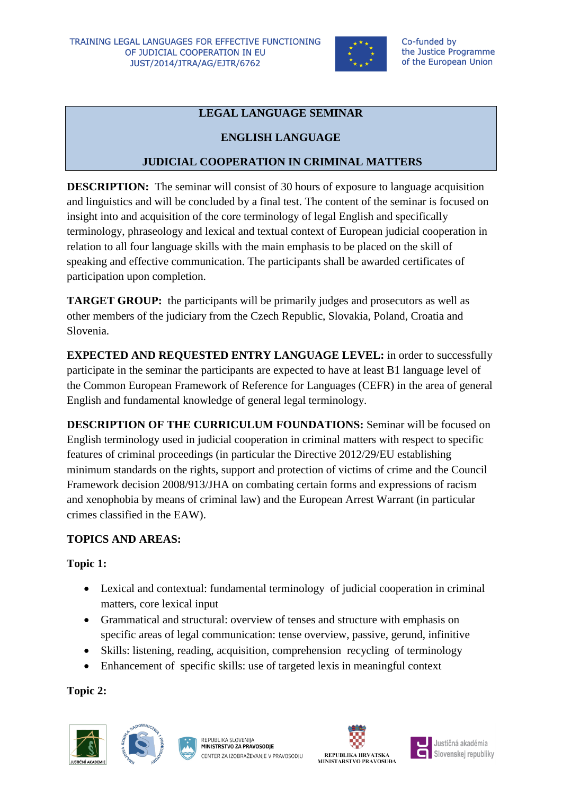

## **LEGAL LANGUAGE SEMINAR**

#### **ENGLISH LANGUAGE**

### **JUDICIAL COOPERATION IN CRIMINAL MATTERS**

**DESCRIPTION:** The seminar will consist of 30 hours of exposure to language acquisition and linguistics and will be concluded by a final test. The content of the seminar is focused on insight into and acquisition of the core terminology of legal English and specifically terminology, phraseology and lexical and textual context of European judicial cooperation in relation to all four language skills with the main emphasis to be placed on the skill of speaking and effective communication. The participants shall be awarded certificates of participation upon completion.

**TARGET GROUP:** the participants will be primarily judges and prosecutors as well as other members of the judiciary from the Czech Republic, Slovakia, Poland, Croatia and Slovenia.

**EXPECTED AND REQUESTED ENTRY LANGUAGE LEVEL:** in order to successfully participate in the seminar the participants are expected to have at least B1 language level of the Common European Framework of Reference for Languages (CEFR) in the area of general English and fundamental knowledge of general legal terminology.

**DESCRIPTION OF THE CURRICULUM FOUNDATIONS:** Seminar will be focused on English terminology used in judicial cooperation in criminal matters with respect to specific features of criminal proceedings (in particular the Directive 2012/29/EU establishing minimum standards on the rights, support and protection of victims of crime and the Council Framework decision 2008/913/JHA on combating certain forms and expressions of racism and xenophobia by means of criminal law) and the European Arrest Warrant (in particular crimes classified in the EAW).

#### **TOPICS AND AREAS:**

#### **Topic 1:**

- Lexical and contextual: fundamental terminology of judicial cooperation in criminal matters, core lexical input
- Grammatical and structural: overview of tenses and structure with emphasis on specific areas of legal communication: tense overview, passive, gerund, infinitive
- Skills: listening, reading, acquisition, comprehension recycling of terminology
- Enhancement of specific skills: use of targeted lexis in meaningful context

**Topic 2:**









Justičná akadémia Slovenskej republiky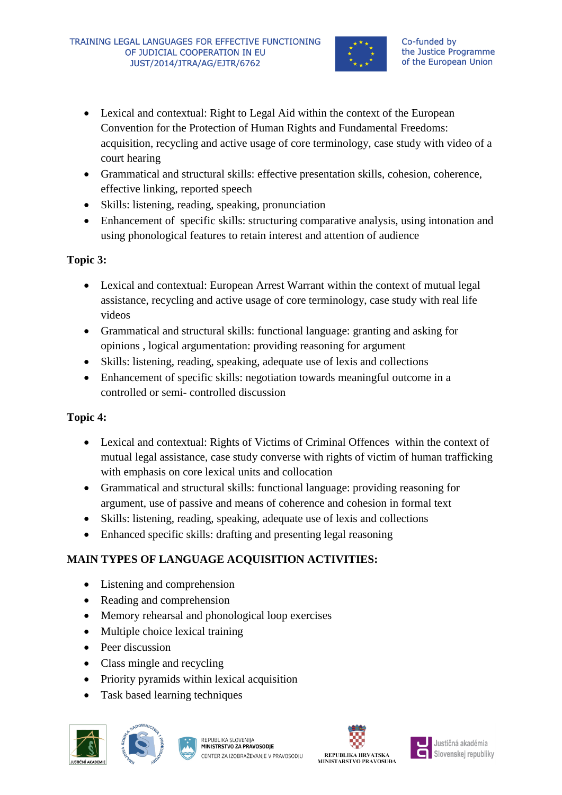

- Lexical and contextual: Right to Legal Aid within the context of the European Convention for the Protection of Human Rights and Fundamental Freedoms: acquisition, recycling and active usage of core terminology, case study with video of a court hearing
- Grammatical and structural skills: effective presentation skills, cohesion, coherence, effective linking, reported speech
- Skills: listening, reading, speaking, pronunciation
- Enhancement of specific skills: structuring comparative analysis, using intonation and using phonological features to retain interest and attention of audience

#### **Topic 3:**

- Lexical and contextual: European Arrest Warrant within the context of mutual legal assistance, recycling and active usage of core terminology, case study with real life videos
- Grammatical and structural skills: functional language: granting and asking for opinions , logical argumentation: providing reasoning for argument
- Skills: listening, reading, speaking, adequate use of lexis and collections
- Enhancement of specific skills: negotiation towards meaningful outcome in a controlled or semi- controlled discussion

# **Topic 4:**

- Lexical and contextual: Rights of Victims of Criminal Offences within the context of mutual legal assistance, case study converse with rights of victim of human trafficking with emphasis on core lexical units and collocation
- Grammatical and structural skills: functional language: providing reasoning for argument, use of passive and means of coherence and cohesion in formal text
- Skills: listening, reading, speaking, adequate use of lexis and collections
- Enhanced specific skills: drafting and presenting legal reasoning

# **MAIN TYPES OF LANGUAGE ACQUISITION ACTIVITIES:**

- Listening and comprehension
- Reading and comprehension
- Memory rehearsal and phonological loop exercises
- Multiple choice lexical training
- Peer discussion
- Class mingle and recycling
- Priority pyramids within lexical acquisition
- Task based learning techniques